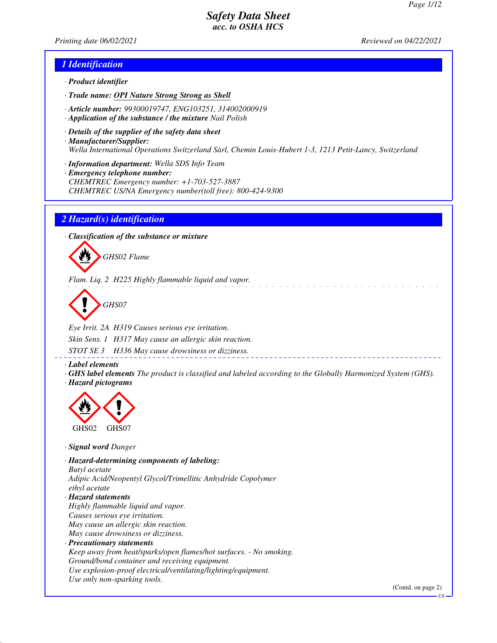*Printing date 06/02/2021 Reviewed on 04/22/2021*

#### *1 Identification*

- *· Product identifier*
- *· Trade name: OPI Nature Strong Strong as Shell*
- *· Article number: 99300019747, ENG103251, 314002000919*
- *· Application of the substance / the mixture Nail Polish*
- *· Details of the supplier of the safety data sheet · Manufacturer/Supplier: Wella International Operations Switzerland Sàrl, Chemin Louis-Hubert 1-3, 1213 Petit-Lancy, Switzerland*
- *· Information department: Wella SDS Info Team*
- *· Emergency telephone number: CHEMTREC Emergency number: +1-703-527-3887 CHEMTREC US/NA Emergency number(toll free): 800-424-9300*

#### *2 Hazard(s) identification*

*· Classification of the substance or mixture*



*Flam. Liq. 2 H225 Highly flammable liquid and vapor.*

*GHS07*

*Eye Irrit. 2A H319 Causes serious eye irritation. Skin Sens. 1 H317 May cause an allergic skin reaction.*

*STOT SE 3 H336 May cause drowsiness or dizziness.*

*· Label elements*

*· GHS label elements The product is classified and labeled according to the Globally Harmonized System (GHS). · Hazard pictograms*



*· Signal word Danger*

*· Hazard-determining components of labeling: Butyl acetate Adipic Acid/Neopentyl Glycol/Trimellitic Anhydride Copolymer ethyl acetate · Hazard statements Highly flammable liquid and vapor. Causes serious eye irritation. May cause an allergic skin reaction. May cause drowsiness or dizziness. · Precautionary statements Keep away from heat/sparks/open flames/hot surfaces. - No smoking. Ground/bond container and receiving equipment. Use explosion-proof electrical/ventilating/lighting/equipment. Use only non-sparking tools.*

(Contd. on page 2)

US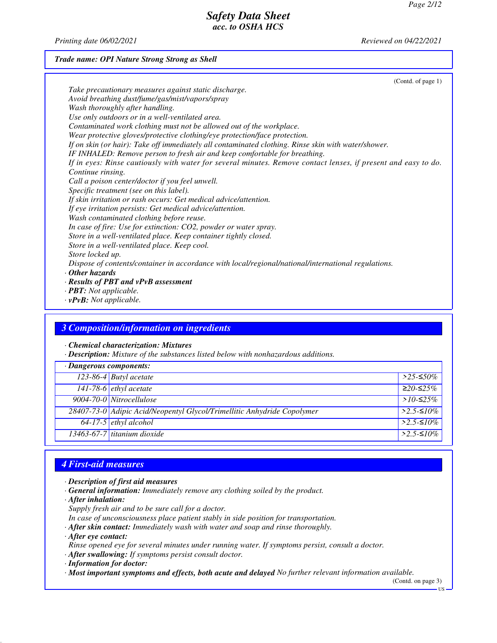*Printing date 06/02/2021 Reviewed on 04/22/2021*

#### *Trade name: OPI Nature Strong Strong as Shell*

(Contd. of page 1) *Take precautionary measures against static discharge. Avoid breathing dust/fume/gas/mist/vapors/spray Wash thoroughly after handling. Use only outdoors or in a well-ventilated area. Contaminated work clothing must not be allowed out of the workplace. Wear protective gloves/protective clothing/eye protection/face protection. If on skin (or hair): Take off immediately all contaminated clothing. Rinse skin with water/shower. IF INHALED: Remove person to fresh air and keep comfortable for breathing. If in eyes: Rinse cautiously with water for several minutes. Remove contact lenses, if present and easy to do. Continue rinsing. Call a poison center/doctor if you feel unwell. Specific treatment (see on this label). If skin irritation or rash occurs: Get medical advice/attention. If eye irritation persists: Get medical advice/attention. Wash contaminated clothing before reuse. In case of fire: Use for extinction: CO2, powder or water spray. Store in a well-ventilated place. Keep container tightly closed. Store in a well-ventilated place. Keep cool. Store locked up. Dispose of contents/container in accordance with local/regional/national/international regulations. · Other hazards · Results of PBT and vPvB assessment · PBT: Not applicable.*

*· vPvB: Not applicable.*

#### *3 Composition/information on ingredients*

*· Chemical characterization: Mixtures*

*· Description: Mixture of the substances listed below with nonhazardous additions.*

| $\cdot$ Dangerous components: |                                                                         |                      |
|-------------------------------|-------------------------------------------------------------------------|----------------------|
|                               | 123-86-4 Butyl acetate                                                  | $>$ 25-≤50%          |
|                               | 141-78-6 ethyl acetate                                                  | $≥20-≤25%$           |
|                               | 9004-70-0 Nitrocellulose                                                | > $10$ -≤25%         |
|                               | 28407-73-0 Adipic Acid/Neopentyl Glycol/Trimellitic Anhydride Copolymer | $>2.5-10\%$          |
|                               | $64-17-5$ <i>ethyl alcohol</i>                                          | $>2.5$ - $\leq 10\%$ |
|                               | $13463-67-7$ titanium dioxide                                           | $>2.5-10\%$          |

## *4 First-aid measures*

- *· Description of first aid measures*
- *· General information: Immediately remove any clothing soiled by the product.*
- *· After inhalation:*
- *Supply fresh air and to be sure call for a doctor.*
- *In case of unconsciousness place patient stably in side position for transportation.*
- *· After skin contact: Immediately wash with water and soap and rinse thoroughly.*
- *· After eye contact:*
- *Rinse opened eye for several minutes under running water. If symptoms persist, consult a doctor.*
- *· After swallowing: If symptoms persist consult doctor.*
- *· Information for doctor:*
- *· Most important symptoms and effects, both acute and delayed No further relevant information available.*

(Contd. on page 3)

US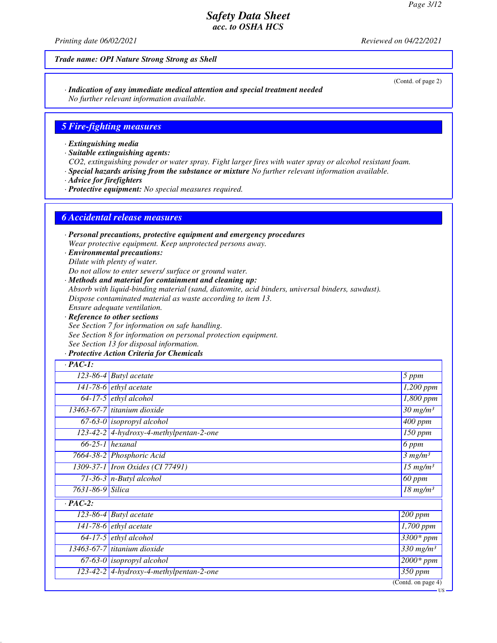*Printing date 06/02/2021 Reviewed on 04/22/2021*

#### *Trade name: OPI Nature Strong Strong as Shell*

*· Indication of any immediate medical attention and special treatment needed No further relevant information available.*

#### *5 Fire-fighting measures*

*· Extinguishing media*

*· Suitable extinguishing agents:*

*CO2, extinguishing powder or water spray. Fight larger fires with water spray or alcohol resistant foam.*

*· Special hazards arising from the substance or mixture No further relevant information available.*

*· Advice for firefighters*

*· Protective equipment: No special measures required.*

#### *6 Accidental release measures*

*· Personal precautions, protective equipment and emergency procedures Wear protective equipment. Keep unprotected persons away.*

*· Environmental precautions: Dilute with plenty of water.*

*Do not allow to enter sewers/ surface or ground water.*

*· Methods and material for containment and cleaning up:*

*Absorb with liquid-binding material (sand, diatomite, acid binders, universal binders, sawdust).*

*Dispose contaminated material as waste according to item 13.*

*Ensure adequate ventilation.*

*· Reference to other sections See Section 7 for information on safe handling. See Section 8 for information on personal protection equipment. See Section 13 for disposal information.*

#### *· Protective Action Criteria for Chemicals*

| $\cdot$ PAC-1:   |                                             |                                        |
|------------------|---------------------------------------------|----------------------------------------|
|                  | $\overline{123}$ -86-4 Butyl acetate        | 5 ppm                                  |
|                  | $\overline{141}$ -78-6 <i>ethyl</i> acetate | 1,200 ppm                              |
|                  | $64-17-5$ ethyl alcohol                     | $\overline{1,800}$ ppm                 |
|                  | 13463-67-7 titanium dioxide                 | $\overline{30}$ mg/m <sup>3</sup>      |
|                  | $67-63-0$ isopropyl alcohol                 | $\overline{400}$ ppm                   |
|                  | $123-42-2$ 4-hydroxy-4-methylpentan-2-one   | $\overline{1}50$ ppm                   |
|                  | $66-25-1$ hexanal                           | 6 ppm                                  |
|                  | 7664-38-2 Phosphoric Acid                   | 3 mg/m <sup>3</sup>                    |
|                  | 1309-37-1 Iron Oxides (CI 77491)            | $\overline{15}$ mg/m <sup>3</sup>      |
|                  | $71-36-3$ n-Butyl alcohol                   | 60 ppm                                 |
| 7631-86-9 Silica |                                             | $18$ mg/m <sup>3</sup>                 |
| $\cdot$ PAC-2:   |                                             |                                        |
|                  | 123-86-4 Butyl acetate                      | 200 ppm                                |
|                  | 141-78-6 $ethyl$ acetate                    | 1,700 ppm                              |
|                  | $64-17-5$ ethyl alcohol                     | 3300* ppm                              |
|                  | 13463-67-7 titanium dioxide                 | $330$ mg/m <sup>3</sup>                |
|                  | $67-63-0$ isopropyl alcohol                 | $2000*$ ppm                            |
|                  | 123-42-2 4-hydroxy-4-methylpentan-2-one     | $350$ ppm                              |
|                  |                                             | $\overline{(\text{Contd. on page 4})}$ |

US

#### (Contd. of page 2)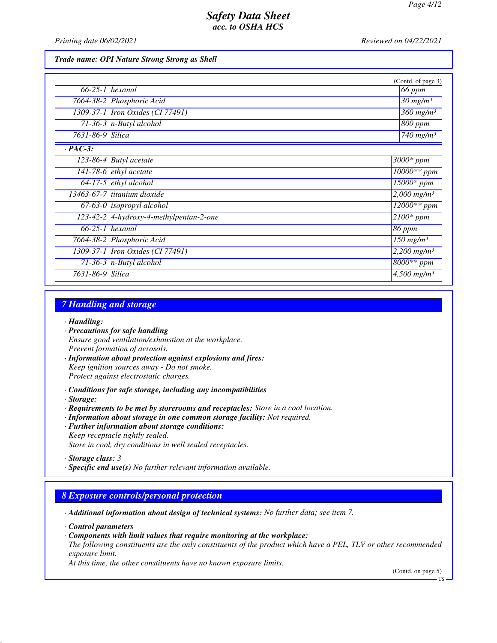*Printing date 06/02/2021 Reviewed on 04/22/2021*

*Trade name: OPI Nature Strong Strong as Shell*

|                  |                                           | (Contd. of page 3)                 |
|------------------|-------------------------------------------|------------------------------------|
|                  | $66-25-1$ hexanal                         | 66 ppm                             |
|                  | 7664-38-2 Phosphoric Acid                 | $30$ mg/m <sup>3</sup>             |
|                  | 1309-37-1 <i>Iron Oxides</i> (CI 77491)   | $360$ mg/m <sup>3</sup>            |
|                  | $71-36-3$ n-Butyl alcohol                 | 800 ppm                            |
| 7631-86-9 Silica |                                           | $\overline{740}$ mg/m <sup>3</sup> |
| $\cdot$ PAC-3:   |                                           |                                    |
|                  | $\overline{123-86-4}$ Butyl acetate       | $3000*$ ppm                        |
|                  | 141-78-6 <i>ethyl</i> acetate             | 10000** ppm                        |
|                  | $64-17-5$ ethyl alcohol                   | $15000*$ ppm                       |
|                  | 13463-67-7 titanium dioxide               | $2,000$ mg/m <sup>3</sup>          |
|                  | $67-63-0$ isopropyl alcohol               | $12000**$ ppm                      |
|                  | $123-42-2$ 4-hydroxy-4-methylpentan-2-one | $2100*$ ppm                        |
|                  | $66-25-1$ hexanal                         | 86 ppm                             |
|                  | 7664-38-2 Phosphoric Acid                 | $150$ mg/m <sup>3</sup>            |
|                  | 1309-37-1 <i>Iron Oxides</i> (CI 77491)   | $2,200$ mg/m <sup>3</sup>          |
|                  | 71-36-3 $n$ -Butyl alcohol                | $8000**$ ppm                       |
| 7631-86-9 Silica |                                           | $4,500$ mg/m <sup>3</sup>          |

### *7 Handling and storage*

*· Handling:*

- *· Precautions for safe handling Ensure good ventilation/exhaustion at the workplace. Prevent formation of aerosols.*
- *· Information about protection against explosions and fires: Keep ignition sources away - Do not smoke. Protect against electrostatic charges.*
- *· Conditions for safe storage, including any incompatibilities*
- *· Storage:*
- *· Requirements to be met by storerooms and receptacles: Store in a cool location.*
- *· Information about storage in one common storage facility: Not required.*
- *· Further information about storage conditions:*
- *Keep receptacle tightly sealed. Store in cool, dry conditions in well sealed receptacles.*

*· Specific end use(s) No further relevant information available.*

#### *8 Exposure controls/personal protection*

*· Additional information about design of technical systems: No further data; see item 7.*

*· Control parameters*

*· Components with limit values that require monitoring at the workplace:*

*The following constituents are the only constituents of the product which have a PEL, TLV or other recommended exposure limit.*

*At this time, the other constituents have no known exposure limits.*

(Contd. on page 5)

*<sup>·</sup> Storage class: 3* 

**HS**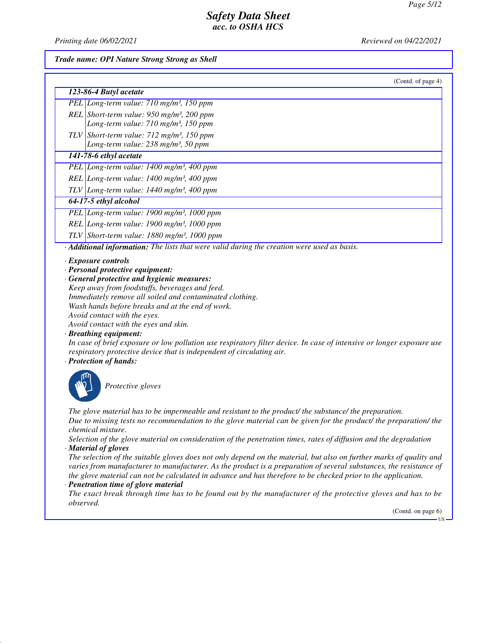*Printing date 06/02/2021 Reviewed on 04/22/2021*

#### *Trade name: OPI Nature Strong Strong as Shell*

| (Contd. of page 4) |  |
|--------------------|--|

| 123-86-4 Butyl acetate                                                                                    |  |
|-----------------------------------------------------------------------------------------------------------|--|
| PEL Long-term value: 710 mg/m <sup>3</sup> , 150 ppm                                                      |  |
| REL Short-term value: 950 mg/m <sup>3</sup> , 200 ppm<br>Long-term value: 710 mg/m <sup>3</sup> , 150 ppm |  |
|                                                                                                           |  |
| TLV Short-term value: $712 \text{ mg/m}^3$ , 150 ppm<br>Long-term value: $238 \text{ mg/m}^3$ , 50 ppm    |  |
|                                                                                                           |  |

#### *141-78-6 ethyl acetate*

*PEL Long-term value: 1400 mg/m³, 400 ppm*

*REL Long-term value: 1400 mg/m³, 400 ppm*

*TLV Long-term value: 1440 mg/m³, 400 ppm*

#### *64-17-5 ethyl alcohol*

*PEL Long-term value: 1900 mg/m³, 1000 ppm*

*REL Long-term value: 1900 mg/m³, 1000 ppm*

*TLV Short-term value: 1880 mg/m³, 1000 ppm*

*· Additional information: The lists that were valid during the creation were used as basis.*

#### *· Exposure controls*

*· Personal protective equipment:*

*· General protective and hygienic measures:*

*Keep away from foodstuffs, beverages and feed. Immediately remove all soiled and contaminated clothing. Wash hands before breaks and at the end of work. Avoid contact with the eyes.*

*Avoid contact with the eyes and skin.*

#### *· Breathing equipment:*

*In case of brief exposure or low pollution use respiratory filter device. In case of intensive or longer exposure use respiratory protective device that is independent of circulating air.*

#### *· Protection of hands:*



*Protective gloves*

*The glove material has to be impermeable and resistant to the product/ the substance/ the preparation. Due to missing tests no recommendation to the glove material can be given for the product/ the preparation/ the chemical mixture.*

*Selection of the glove material on consideration of the penetration times, rates of diffusion and the degradation · Material of gloves*

*The selection of the suitable gloves does not only depend on the material, but also on further marks of quality and varies from manufacturer to manufacturer. As the product is a preparation of several substances, the resistance of the glove material can not be calculated in advance and has therefore to be checked prior to the application.*

### *· Penetration time of glove material*

*The exact break through time has to be found out by the manufacturer of the protective gloves and has to be observed.*

(Contd. on page 6)

US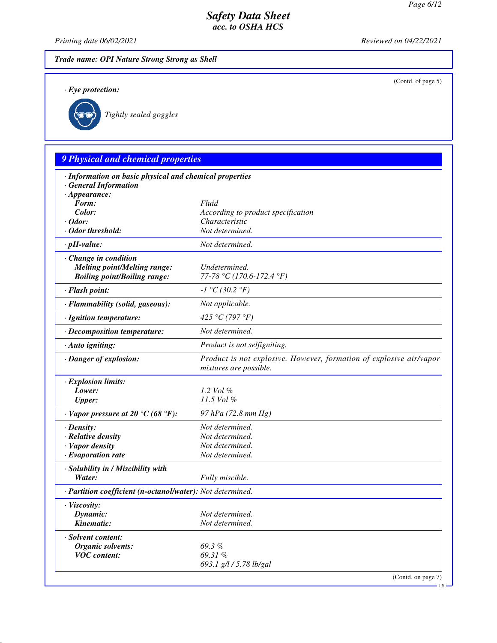(Contd. of page 5)

### *Safety Data Sheet acc. to OSHA HCS*

*Printing date 06/02/2021 Reviewed on 04/22/2021*

### *Trade name: OPI Nature Strong Strong as Shell*

*· Eye protection:*



*Tightly sealed goggles*

## *9 Physical and chemical properties · Information on basic physical and chemical properties · General Information · Appearance: Form: Fluid Color: According to product specification · Odor: Characteristic · Odor threshold: Not determined. · pH-value: Not determined. · Change in condition Melting point/Melting range: Undetermined. Boiling point/Boiling range: 77-78 °C (170.6-172.4 °F) · Flash point: -1 °C (30.2 °F) · Flammability (solid, gaseous): Not applicable. · Ignition temperature: 425 °C (797 °F) · Decomposition temperature: Not determined. · Auto igniting: Product is not selfigniting. · Danger of explosion: Product is not explosive. However, formation of explosive air/vapor mixtures are possible. · Explosion limits: Lower: 1.2 Vol % Upper: 11.5 Vol % · Vapor pressure at 20 °C (68 °F): 97 hPa (72.8 mm Hg) · Density: Not determined. · Relative density Not determined. · Vapor density Not determined. <i>·* Evaporation rate *· Solubility in / Miscibility with Water: Fully miscible. · Partition coefficient (n-octanol/water): Not determined. · Viscosity: Dynamic: Not determined. Kinematic: Not determined. · Solvent content: Organic solvents: 69.3 % VOC content: 69.31 % 693.1 g/l / 5.78 lb/gal*

(Contd. on page 7)

US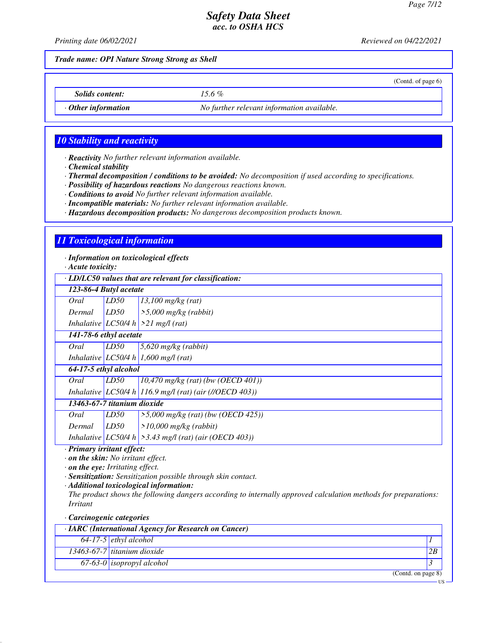(Contd. of page 6)

### *Safety Data Sheet acc. to OSHA HCS*

*Printing date 06/02/2021 Reviewed on 04/22/2021*

*Trade name: OPI Nature Strong Strong as Shell*

*Solids content: 15.6 %*

*· Other information No further relevant information available.*

### *10 Stability and reactivity*

*· Reactivity No further relevant information available.*

*· Chemical stability*

*· Thermal decomposition / conditions to be avoided: No decomposition if used according to specifications.*

*· Possibility of hazardous reactions No dangerous reactions known.*

*· Conditions to avoid No further relevant information available.*

*· Incompatible materials: No further relevant information available.*

*· Hazardous decomposition products: No dangerous decomposition products known.*

### *11 Toxicological information*

*· Information on toxicological effects*

*· Acute toxicity:*

*· LD/LC50 values that are relevant for classification:*

| · LD/LC50 values that are relevant for classification: |      |                                                             |
|--------------------------------------------------------|------|-------------------------------------------------------------|
| 123-86-4 Butyl acetate                                 |      |                                                             |
| Oral                                                   | LD50 | $13,100$ mg/kg (rat)                                        |
| Dermal                                                 | LD50 | $\geq 5,000$ mg/kg (rabbit)                                 |
|                                                        |      | Inhalative $LC50/4 h$ > 21 mg/l (rat)                       |
| 141-78-6 ethyl acetate                                 |      |                                                             |
| Oral                                                   | LD50 | $5,620$ mg/kg (rabbit)                                      |
|                                                        |      | Inhalative LC50/4 h 1,600 mg/l (rat)                        |
| 64-17-5 ethyl alcohol                                  |      |                                                             |
| Oral                                                   | LD50 | $10,470$ mg/kg (rat) (bw (OECD 401))                        |
|                                                        |      | Inhalative LC50/4 h 116.9 mg/l (rat) (air (//OECD 403))     |
| 13463-67-7 titanium dioxide                            |      |                                                             |
| Oral                                                   | LD50 | $>5,000$ mg/kg (rat) (bw (OECD 425))                        |
| Dermal                                                 | LD50 | $>10,000$ mg/kg (rabbit)                                    |
|                                                        |      | Inhalative LC50/4 h $\geq$ 3.43 mg/l (rat) (air (OECD 403)) |

*· Primary irritant effect:*

*· on the skin: No irritant effect.*

*· on the eye: Irritating effect.*

*· Sensitization: Sensitization possible through skin contact.*

*· Additional toxicological information:*

*The product shows the following dangers according to internally approved calculation methods for preparations: Irritant*

#### *· Carcinogenic categories*

| $\cdot$ IARC (International Agency for Research on Cancer) |                                       |    |
|------------------------------------------------------------|---------------------------------------|----|
|                                                            | $64-17-5$ ethyl alcohol               |    |
|                                                            | $\sqrt{13463}$ -67-7 titanium dioxide | 2B |
|                                                            | $67-63-0$ isopropyl alcohol           |    |
|                                                            | (Contd. on page 8)                    |    |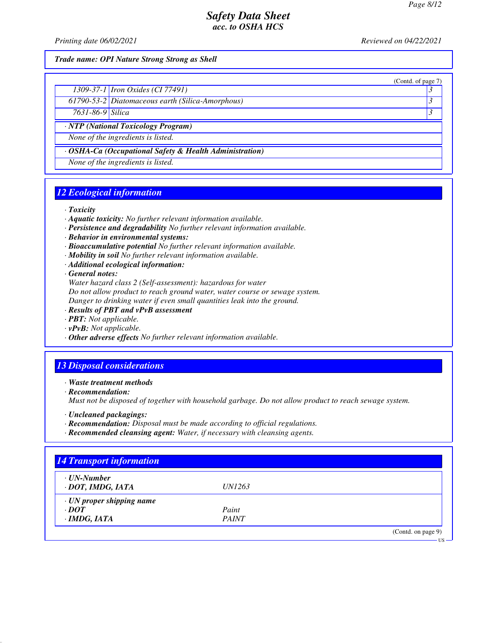(Contd. of page 7)

### *Safety Data Sheet acc. to OSHA HCS*

*Printing date 06/02/2021 Reviewed on 04/22/2021*

#### *Trade name: OPI Nature Strong Strong as Shell*

|                                                                                                                 | 1309-37-1 <i>Iron Oxides</i> (CI 77491)                                                                         |  |
|-----------------------------------------------------------------------------------------------------------------|-----------------------------------------------------------------------------------------------------------------|--|
| the contract of the contract of the contract of the contract of the contract of the contract of the contract of | the contract of the contract of the contract of the contract of the contract of the contract of the contract of |  |

*61790-53-2 Diatomaceous earth (Silica-Amorphous) 3* 

*7631-86-9 Silica 3* 

*· NTP (National Toxicology Program)*

*None of the ingredients is listed.*

*· OSHA-Ca (Occupational Safety & Health Administration)*

*None of the ingredients is listed.*

## *12 Ecological information*

*· Toxicity*

- *· Aquatic toxicity: No further relevant information available.*
- *· Persistence and degradability No further relevant information available.*
- *· Behavior in environmental systems:*
- *· Bioaccumulative potential No further relevant information available.*
- *· Mobility in soil No further relevant information available.*
- *· Additional ecological information:*

*· General notes:*

*Water hazard class 2 (Self-assessment): hazardous for water*

*Do not allow product to reach ground water, water course or sewage system.*

*Danger to drinking water if even small quantities leak into the ground.*

- *· Results of PBT and vPvB assessment*
- *· PBT: Not applicable.*
- *· vPvB: Not applicable.*
- *· Other adverse effects No further relevant information available.*

## *13 Disposal considerations*

*· Waste treatment methods*

*· Recommendation:*

*Must not be disposed of together with household garbage. Do not allow product to reach sewage system.*

- *· Uncleaned packagings:*
- *· Recommendation: Disposal must be made according to official regulations.*
- *· Recommended cleansing agent: Water, if necessary with cleansing agents.*

| $\cdot$ UN-Number               |               |  |
|---------------------------------|---------------|--|
| · DOT, IMDG, IATA               | <i>UN1263</i> |  |
| $\cdot$ UN proper shipping name |               |  |
| $\cdot$ DOT                     | Paint         |  |
| $\cdot$ IMDG, IATA              | <b>PAINT</b>  |  |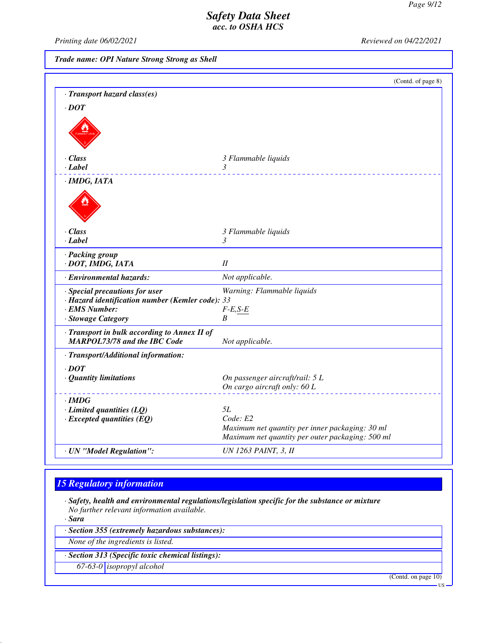*Printing date 06/02/2021 Reviewed on 04/22/2021*

*Trade name: OPI Nature Strong Strong as Shell*

|                                                                                                                           | (Contd. of page 8)                                                                                  |
|---------------------------------------------------------------------------------------------------------------------------|-----------------------------------------------------------------------------------------------------|
| · Transport hazard class(es)                                                                                              |                                                                                                     |
| $\cdot$ DOT                                                                                                               |                                                                                                     |
|                                                                                                                           |                                                                                                     |
| $\cdot$ Class                                                                                                             | 3 Flammable liquids                                                                                 |
| · Label                                                                                                                   | 3                                                                                                   |
| · IMDG, IATA                                                                                                              |                                                                                                     |
|                                                                                                                           |                                                                                                     |
| $\cdot$ Class                                                                                                             | 3 Flammable liquids                                                                                 |
| $\cdot$ Label                                                                                                             | 3                                                                                                   |
| · Packing group<br>· DOT, IMDG, IATA                                                                                      | II                                                                                                  |
| · Environmental hazards:                                                                                                  | Not applicable.                                                                                     |
| · Special precautions for user<br>· Hazard identification number (Kemler code): 33<br>· EMS Number:<br>· Stowage Category | Warning: Flammable liquids<br>$F-E, S-E$<br>B                                                       |
| · Transport in bulk according to Annex II of<br><b>MARPOL73/78 and the IBC Code</b>                                       | Not applicable.                                                                                     |
| · Transport/Additional information:                                                                                       |                                                                                                     |
| $\cdot$ <i>DOT</i>                                                                                                        |                                                                                                     |
| $\cdot$ Quantity limitations                                                                                              | On passenger aircraft/rail: 5 L                                                                     |
|                                                                                                                           | On cargo aircraft only: 60 L                                                                        |
| $\cdot$ IMDG                                                                                                              |                                                                                                     |
| $\cdot$ Limited quantities (LQ)                                                                                           | <i>5L</i>                                                                                           |
| $\cdot$ Excepted quantities (EQ)                                                                                          | Code: E2                                                                                            |
|                                                                                                                           | Maximum net quantity per inner packaging: 30 ml<br>Maximum net quantity per outer packaging: 500 ml |
|                                                                                                                           | <b>UN 1263 PAINT, 3, II</b>                                                                         |
| · UN "Model Regulation":                                                                                                  |                                                                                                     |

## *15 Regulatory information*

*· Safety, health and environmental regulations/legislation specific for the substance or mixture No further relevant information available.*

*· Sara*

*· Section 355 (extremely hazardous substances):*

*None of the ingredients is listed.*

*· Section 313 (Specific toxic chemical listings):*

*67-63-0 isopropyl alcohol*

(Contd. on page 10)

US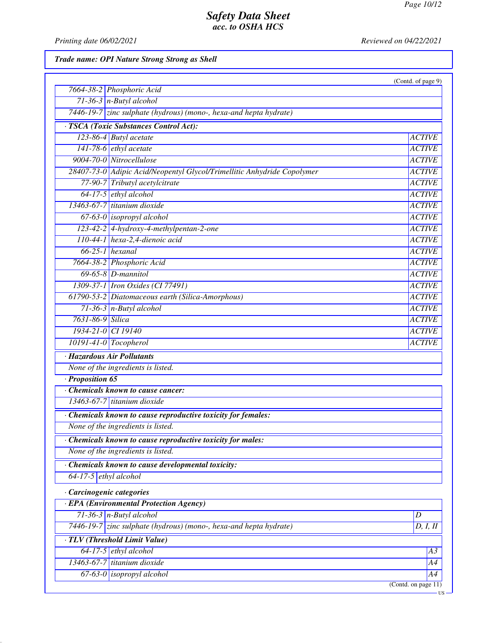US

## *Safety Data Sheet acc. to OSHA HCS*

*Printing date 06/02/2021 Reviewed on 04/22/2021*

*Trade name: OPI Nature Strong Strong as Shell*

|                                                                         | (Contd. of page 9)  |
|-------------------------------------------------------------------------|---------------------|
| 7664-38-2 Phosphoric Acid                                               |                     |
| $71-36-3$ n-Butyl alcohol                                               |                     |
| 7446-19-7 zinc sulphate (hydrous) (mono-, hexa-and hepta hydrate)       |                     |
| · TSCA (Toxic Substances Control Act):                                  |                     |
| 123-86-4 Butyl acetate                                                  | <b>ACTIVE</b>       |
| $141-78-6$ ethyl acetate                                                | <b>ACTIVE</b>       |
| 9004-70-0 Nitrocellulose                                                | <b>ACTIVE</b>       |
| 28407-73-0 Adipic Acid/Neopentyl Glycol/Trimellitic Anhydride Copolymer | <b>ACTIVE</b>       |
| 77-90-7 Tributyl acetylcitrate                                          | <b>ACTIVE</b>       |
| 64-17-5 ethyl alcohol                                                   | <b>ACTIVE</b>       |
| 13463-67-7 titanium dioxide                                             | <b>ACTIVE</b>       |
| $67-63-0$ isopropyl alcohol                                             | <b>ACTIVE</b>       |
| 123-42-2 4-hydroxy-4-methylpentan-2-one                                 | <b>ACTIVE</b>       |
| 110-44-1 hexa-2,4-dienoic acid                                          | <b>ACTIVE</b>       |
| $66-25-1$ hexanal                                                       | <b>ACTIVE</b>       |
| 7664-38-2 Phosphoric Acid                                               | <b>ACTIVE</b>       |
| $69-65-8$ <i>D</i> -mannitol                                            | <b>ACTIVE</b>       |
| 1309-37-1 Iron Oxides (CI 77491)                                        | <b>ACTIVE</b>       |
| 61790-53-2 Diatomaceous earth (Silica-Amorphous)                        | <b>ACTIVE</b>       |
| $71-36-3$ n-Butyl alcohol                                               | <b>ACTIVE</b>       |
| 7631-86-9 Silica                                                        | <b>ACTIVE</b>       |
| 1934-21-0 CI 19140                                                      | <b>ACTIVE</b>       |
| $10191-41-0$ Tocopherol                                                 | <b>ACTIVE</b>       |
| · Hazardous Air Pollutants                                              |                     |
| None of the ingredients is listed.                                      |                     |
| $\cdot$ Proposition 65                                                  |                     |
| Chemicals known to cause cancer:                                        |                     |
| 13463-67-7 titanium dioxide                                             |                     |
| · Chemicals known to cause reproductive toxicity for females:           |                     |
| None of the ingredients is listed.                                      |                     |
| Chemicals known to cause reproductive toxicity for males:               |                     |
| None of the ingredients is listed.                                      |                     |
| Chemicals known to cause developmental toxicity:                        |                     |
| $64-17-5$ ethyl alcohol                                                 |                     |
| · Carcinogenic categories                                               |                     |
| · EPA (Environmental Protection Agency)                                 |                     |
| $71-36-3$ n-Butyl alcohol                                               | D                   |
| $7446-19-7$ zinc sulphate (hydrous) (mono-, hexa-and hepta hydrate)     | D, I, II            |
| · TLV (Threshold Limit Value)                                           |                     |
| $64-17-5$ ethyl alcohol                                                 | A3                  |
| 13463-67-7 titanium dioxide                                             | A4                  |
| $67-63-0$ isopropyl alcohol                                             | A4                  |
|                                                                         | (Contd. on page 11) |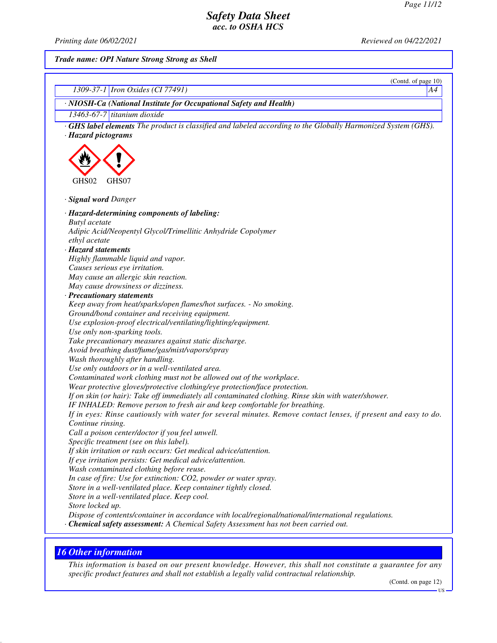*Printing date 06/02/2021 Reviewed on 04/22/2021*

*Trade name: OPI Nature Strong Strong as Shell*

| (Contd. of page 10)                                                                                                     |
|-------------------------------------------------------------------------------------------------------------------------|
| 1309-37-1 <i>Iron Oxides</i> (CI 77491)<br>A4                                                                           |
| · NIOSH-Ca (National Institute for Occupational Safety and Health)                                                      |
| 13463-67-7 titanium dioxide                                                                                             |
| <b>GHS label elements</b> The product is classified and labeled according to the Globally Harmonized System (GHS).      |
| · Hazard pictograms                                                                                                     |
|                                                                                                                         |
|                                                                                                                         |
|                                                                                                                         |
| GHS02<br>GHS07                                                                                                          |
|                                                                                                                         |
| · Signal word Danger                                                                                                    |
| · Hazard-determining components of labeling:                                                                            |
| <b>Butyl</b> acetate                                                                                                    |
| Adipic Acid/Neopentyl Glycol/Trimellitic Anhydride Copolymer                                                            |
| ethyl acetate                                                                                                           |
| · Hazard statements                                                                                                     |
| Highly flammable liquid and vapor.                                                                                      |
| Causes serious eye irritation.                                                                                          |
| May cause an allergic skin reaction.                                                                                    |
| May cause drowsiness or dizziness.                                                                                      |
| · Precautionary statements                                                                                              |
| Keep away from heat/sparks/open flames/hot surfaces. - No smoking.                                                      |
| Ground/bond container and receiving equipment.                                                                          |
| Use explosion-proof electrical/ventilating/lighting/equipment.                                                          |
| Use only non-sparking tools.                                                                                            |
| Take precautionary measures against static discharge.                                                                   |
| Avoid breathing dust/fume/gas/mist/vapors/spray                                                                         |
| Wash thoroughly after handling.                                                                                         |
| Use only outdoors or in a well-ventilated area.<br>Contaminated work clothing must not be allowed out of the workplace. |
| Wear protective gloves/protective clothing/eye protection/face protection.                                              |
| If on skin (or hair): Take off immediately all contaminated clothing. Rinse skin with water/shower.                     |
| IF INHALED: Remove person to fresh air and keep comfortable for breathing.                                              |
| If in eyes: Rinse cautiously with water for several minutes. Remove contact lenses, if present and easy to do.          |
| Continue rinsing.                                                                                                       |
| Call a poison center/doctor if you feel unwell.                                                                         |
| Specific treatment (see on this label).                                                                                 |
| If skin irritation or rash occurs: Get medical advice/attention.                                                        |
| If eye irritation persists: Get medical advice/attention.                                                               |
| Wash contaminated clothing before reuse.                                                                                |
| In case of fire: Use for extinction: CO2, powder or water spray.                                                        |
| Store in a well-ventilated place. Keep container tightly closed.                                                        |
| Store in a well-ventilated place. Keep cool.                                                                            |
| Store locked up.                                                                                                        |
| Dispose of contents/container in accordance with local/regional/national/international regulations.                     |
| · Chemical safety assessment: A Chemical Safety Assessment has not been carried out.                                    |
|                                                                                                                         |

# *16 Other information*

*This information is based on our present knowledge. However, this shall not constitute a guarantee for any specific product features and shall not establish a legally valid contractual relationship.*

(Contd. on page 12)